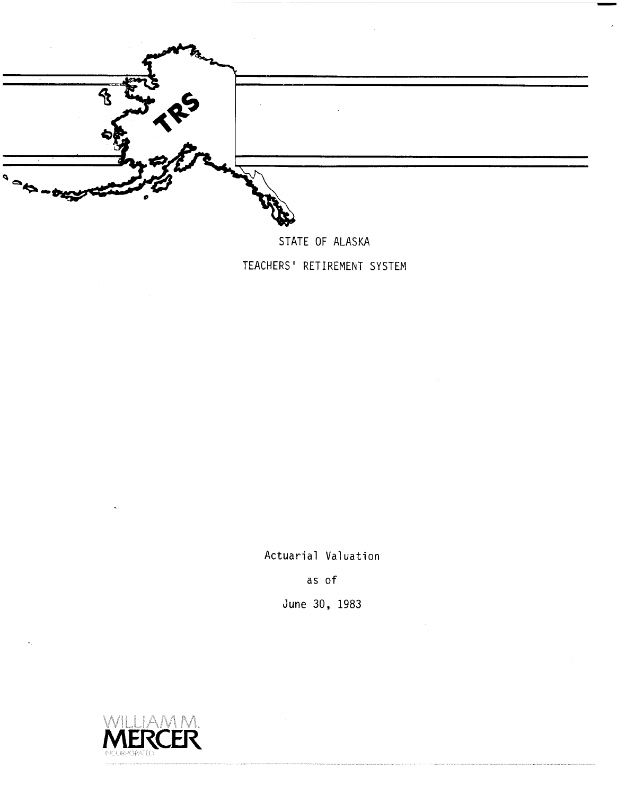

STATE OF ALASKA TEACHERS' RETIREMENT SYSTEM

Actuarial Valuation

as of

June 30, 1983

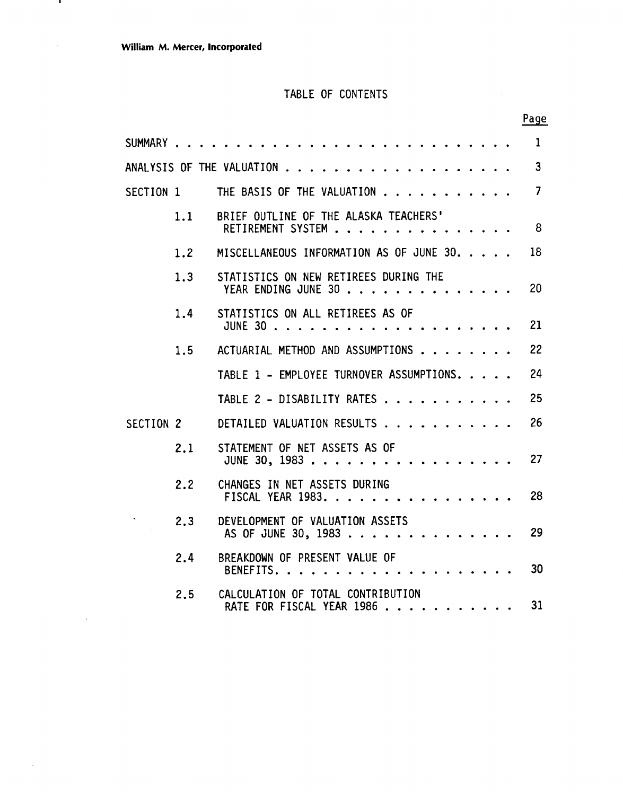$\mathbf{r}$ 

 $\hat{\mathcal{A}}$ 

÷.

 $\sim$ 

### TABLE OF CONTENTS

|           |     |                                                                |  | Page           |
|-----------|-----|----------------------------------------------------------------|--|----------------|
|           |     | SUMMARY                                                        |  | $\mathbf{1}$   |
|           |     |                                                                |  | $\mathbf{3}$   |
| SECTION 1 |     | THE BASIS OF THE VALUATION                                     |  | $\overline{7}$ |
|           | 1.1 | BRIEF OUTLINE OF THE ALASKA TEACHERS'<br>RETIREMENT SYSTEM     |  | - 8            |
|           | 1.2 | MISCELLANEOUS INFORMATION AS OF JUNE 30.                       |  | 18             |
|           | 1.3 | STATISTICS ON NEW RETIREES DURING THE<br>YEAR ENDING JUNE 30   |  | 20             |
|           | 1.4 | STATISTICS ON ALL RETIREES AS OF                               |  | 21             |
|           | 1.5 | ACTUARIAL METHOD AND ASSUMPTIONS                               |  | 22             |
|           |     | TABLE 1 - EMPLOYEE TURNOVER ASSUMPTIONS.                       |  | 24             |
|           |     | TABLE 2 - DISABILITY RATES                                     |  | 25             |
| SECTION 2 |     | DETAILED VALUATION RESULTS                                     |  | 26             |
|           | 2.1 | STATEMENT OF NET ASSETS AS OF<br>JUNE 30, 1983                 |  | 27             |
|           | 2.2 | CHANGES IN NET ASSETS DURING<br>FISCAL YEAR 1983.              |  | 28             |
|           | 2.3 | DEVELOPMENT OF VALUATION ASSETS<br>AS OF JUNE 30, 1983         |  | 29             |
|           | 2.4 | BREAKDOWN OF PRESENT VALUE OF<br>BENEFITS.<br>.                |  | 30             |
|           | 2.5 | CALCULATION OF TOTAL CONTRIBUTION<br>RATE FOR FISCAL YEAR 1986 |  | 31             |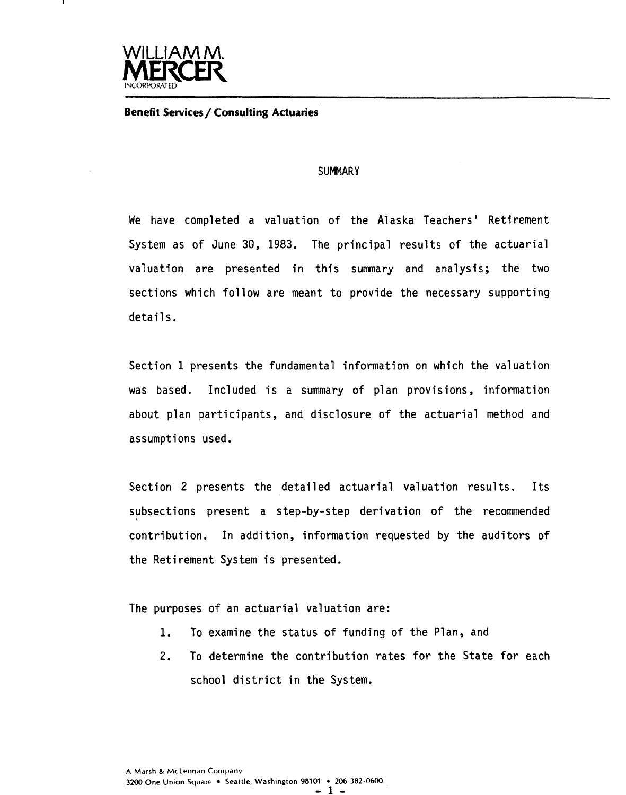

#### **Benefit Services/ Consulting Actuaries**

#### **SUMMARY**

We have completed a valuation of the Alaska Teachers' Retirement System as of June 30, 1983. The principal results of the actuarial valuation are presented in this summary and analysis; the two sections which follow are meant to provide the necessary supporting details.

Section 1 presents the fundamental information on which the valuation was based. Included is a summary of plan provisions, information about plan participants, and disclosure of the actuarial method and assumptions used.

Section 2 presents the detailed actuarial valuation results. Its subsections present a step-by-step derivation of the recommended contribution. In addition, information requested by the auditors of the Retirement System is presented.

The purposes of an actuarial valuation are:

- **1.** To examine the status of funding of the Plan, and
- 2. To determine the contribution rates for the State for each school district in the System.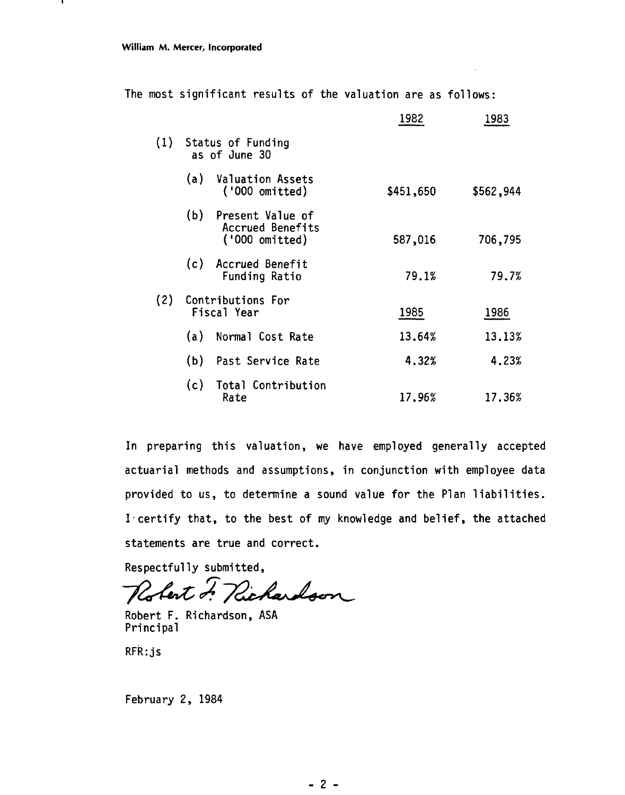.

|  |  | The most significant results of the valuation are as follows: |  |  |  |  |  |  |  |
|--|--|---------------------------------------------------------------|--|--|--|--|--|--|--|
|--|--|---------------------------------------------------------------|--|--|--|--|--|--|--|

|     |     |                                                        | 1982      | 1983      |
|-----|-----|--------------------------------------------------------|-----------|-----------|
|     |     | (1) Status of Funding<br>as of June 30                 |           |           |
|     | (a) | <b>Valuation Assets</b><br>('000 omitted)              | \$451,650 | \$562,944 |
|     | (b) | Present Value of<br>Accrued Benefits<br>('000 omitted) | 587,016   | 706,795   |
|     |     | (c) Accrued Benefit<br><b>Funding Ratio</b>            | 79.1%     | 79.7%     |
| (2) |     | Contributions For<br>Fiscal Year                       | 1985      | 1986      |
|     | (a) | Normal Cost Rate                                       | 13.64%    | 13.13%    |
|     | (b) | Past Service Rate                                      | 4.32%     | 4.23%     |
|     | (c) | Total Contribution<br>Rate                             | 17.96%    | 17.36%    |

In preparing this valuation, we have employed generally accepted actuarial methods and assumptions, in conjunction with employee data provided to us, to determine a sound value for the Plan liabilities. I-certify that, to the best of my knowledge and belief, the attached statements are true and correct.

Respectfully submitted,

Robert F. Richardson

Robert F. Richardson, ASA Principal

 $RFR:js$ 

February 2, 1984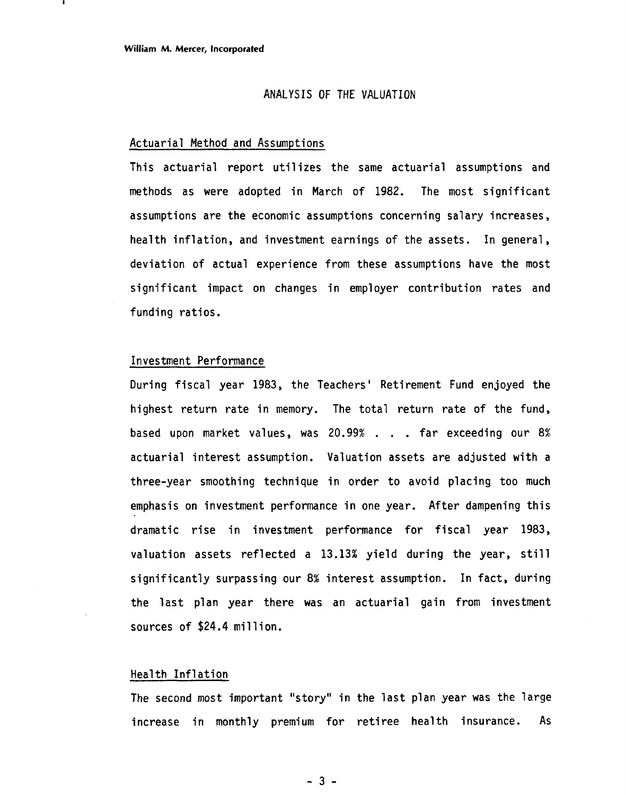#### ANALYSIS OF **THE** VALUATION

#### Actuarial Method and Assumptions

This actuarial report utilizes the same actuarial assumptions and methods as were adopted in March of 1982. The most significant assumptions are the economic assumptions concerning salary increases, health inflation, and investment earnings of the assets. In general, deviation of actual experience from these assumptions have the most significant impact on changes in employer contribution rates and funding ratios.

#### Investment Performance

During fiscal year 1983, the Teachers' Retirement Fund enjoyed the highest return rate in memory. The total return rate of the fund, based upon market values, was 20.99% . . . far exceeding our 8% actuarial interest assumption. Valuation assets are adjusted with a three-year smoothing technique in order to avoid placing too much emphasis on investment performance in one year. After dampening this dramatic rise in investment performance for fiscal year 1983, valuation assets reflected a 13.13% yield during the year, still significantly surpassing our 8% interest assumption. In fact, during the last plan year there was an actuarial gain from investment sources of \$24.4 million.

#### Health Inflation

The second most important "story" in the last plan year was the large increase in monthly premium for retiree health insurance. As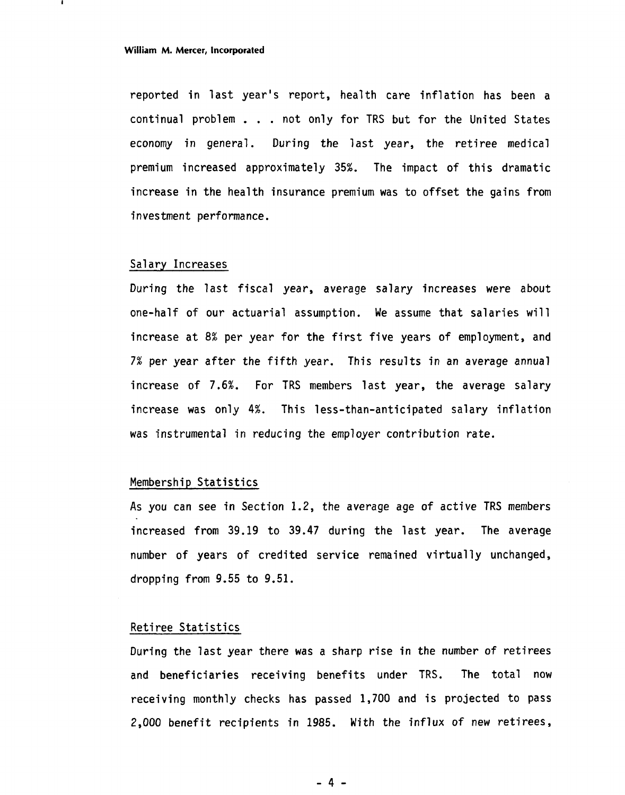#### **William M. Mercer, Incorporated**

reported in last year's report, health care inflation has been a continual problem . . . not only for TRS but for the United States economy in general. During the last year, the retiree medical premium increased approximately 35%. The impact of this dramatic increase in the health insurance premium was to offset the gains from investment performance.

#### Salary Increases

During the last fiscal year, average salary increases were about one-half of our actuarial assumption. We assume that salaries will increase at 8% per year for the first five years of employment, and 7% per year after the fifth year. This results in an average annual increase of 7.6%. For TRS members last year, the average salary increase was only 4%. This less-than-anticipated salary inflation was instrumental in reducing the employer contribution rate.

#### Membership Statistics

As you can see in Section 1.2, the average age of active TRS members increased from 39.19 to 39.47 during the last year. The average number of years of credited service remained virtually unchanged, dropping from 9.55 to 9.51.

#### Retiree Statistics

During the last year there was a sharp rise in the number of retirees and beneficiaries receiving benefits under TRS. The total now receiving monthly checks has passed 1,700 and is projected to pass 2,000 benefit recipients in 1985. With the influx of new retirees,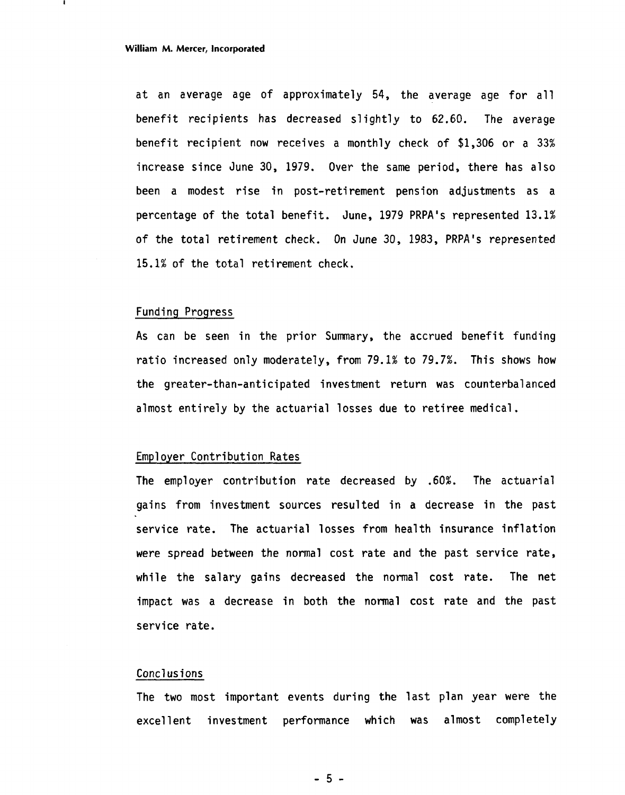at an average age of approximately 54, the average age for all benefit recipients has decreased slightly to 62.60. The average benefit recipient now receives a monthly check of \$1,306 or a **33%**  increase since June 30, 1979. Over the same period, there has also been a modest rise in post-retirement pension adjustments as a percentage of the total benefit. June, 1979 PRPA's represented 13.1% of the total retirement check. On June 30, 1983, PRPA's represented 15.1% of the total retirement check.

#### Funding Progress

As can be seen in the prior Summary, the accrued benefit funding ratio increased only moderately, from 79.1% to 79.7%. This shows how the greater-than-anticipated investment return was counterbalanced almost entirely by the actuarial losses due to retiree medical.

#### Employer Contribution Rates

The empl oyer contribution rate decreased by **.60%.** The actuarial gains from investment sources resulted in a decrease in the past service rate. The actuarial losses from health insurance inflation were spread between the normal cost rate and the past service rate, while the salary gains decreased the normal cost rate. The net impact was a decrease in both the normal cost rate and the past service rate.

#### Concl us i ons

The two most important events during the last plan year were the excellent investment performance which was almost completely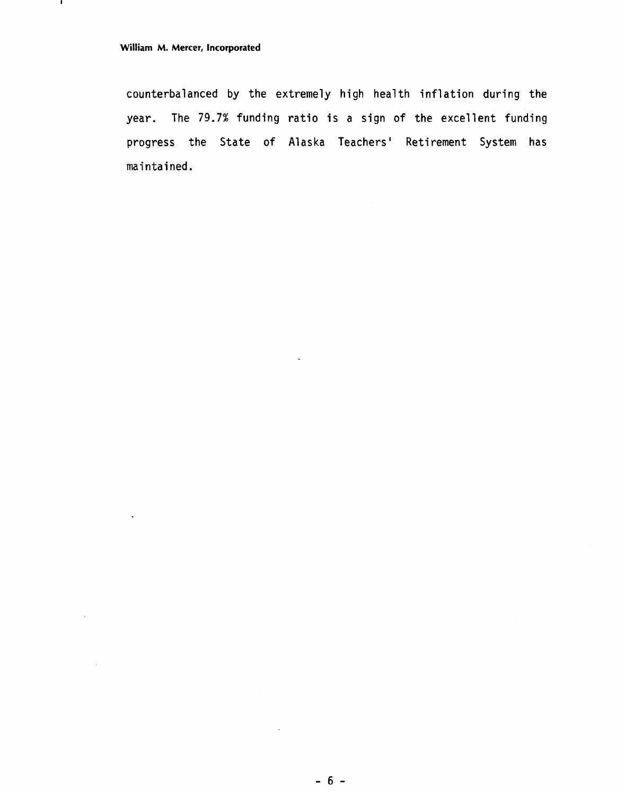$\ddot{\phantom{a}}$ 

 $\sim$ 

 $\sim$   $\sim$ 

 $\mathbf{I}$ 

counterbalanced by the extremely high health inflation during the year. The 79.7% funding ratio is a sign of the excellent funding progress the State of Alaska Teachers' Retirement System has maintained.

 $\lambda$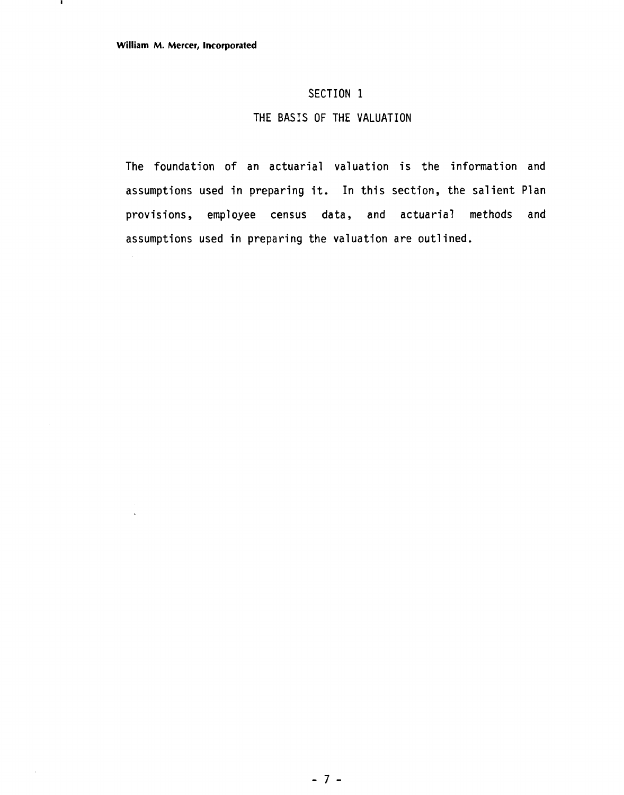### **SECTION 1**

### **THE BASIS OF THE VALUATION**

**The foundation** of **an actuarial valuation is the information and assumptions used in preparing it. In this section, the salient Plan provisions, employee census data, and actuarial methods and assumptions used in preparing the valuation are outlined.**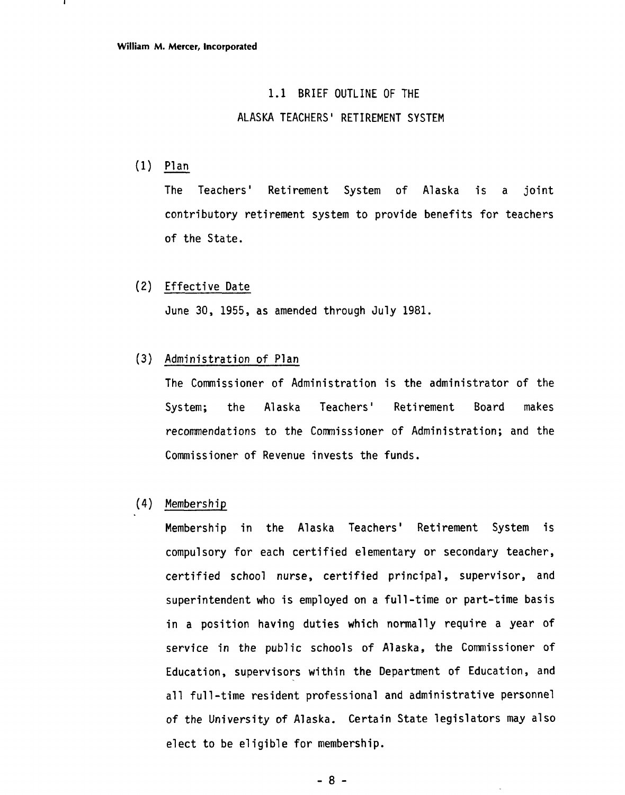#### 1.1 BRIEF OUTLINE OF THE

#### ALASKA TEACHERS ' RETIREMENT SYSTEM

 $(1)$   $\frac{\text{Plan}}{\text{The}}$  Tead

The Teachers' Retirement System of Alaska is a joint contributory retirement system to provide benefits for teachers of the State.

(2) Effective Date

June 30, 1955, as amended through July 1981.

(3) Administration of Plan

The Commissioner of Administration is the administrator of the System; the Alaska Teachers' Retirement Board makes recommendations to the Commissioner of Administration; and the Commissioner of Revenue invests the funds.

(4) Membership

Membership in the Alaska Teachers' Retirement System is compulsory for each certified elementary or secondary teacher, certified school nurse, certified principal, supervisor, and superintendent who is employed on a full-time or part-time basis in a position having duties which normally require a year of service in the public schools of Alaska, the Commissioner of Education, supervisors within the Department of Education, and all full-time resident professional and administrative personnel of the University of Alaska. Certain State legislators may also elect to be eligible for membership.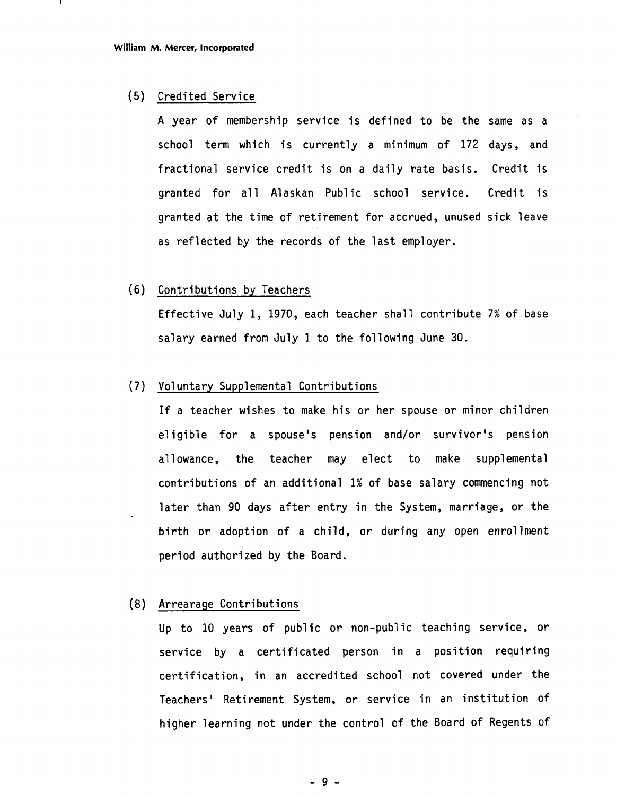#### (5) Credited Service

A year of membership service is defined to be the same as a school term which is currently a minimum of 172 days, and fractional service credit is on a daily rate basis. Credit is granted for all Alaskan Public school service. Credit is granted at the time of retirement for accrued, unused sick leave as reflected by the records of the last employer.

#### (6) Contributions by Teachers

Effective July 1, 1970, each teacher shall contribute 7% of base salary earned from July 1 to the following June 30.

#### (7) Voluntary Supplemental Contributions

If a teacher wishes to make his or her spouse or minor children eligible for a spouse's pension and/or survivor's pension allowance, the teacher may elect to make supplemental contributions of an additional 1% of base salary commencing not later than 90 days after entry in the System, marriage, or the birth or adoption of a child, or during any open enrollment period authorized by the Board.

#### (8) Arrearage Contributions

Up to 10 years of public or non-public teaching service, or service by a certificated person in a position requiring certification, in an accredited school not covered under the Teachers' Retirement System, or service in an institution of higher learning not under the control of the Board of Regents of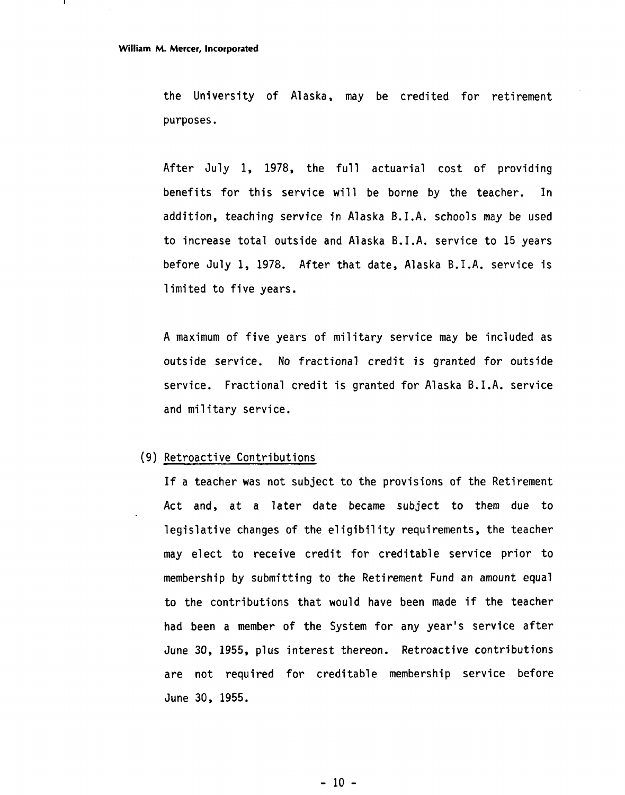the University of Alaska, may be credited for retirement purposes.

After July 1, 1978, the full actuarial cost of providing benefits for this service will be borne by the teacher. In addition, teaching service in Alaska B.I.A. schools may be used to increase total outside and Alaska B. I .A. service to 15 years before July 1, 1978. After that date, Alaska B.I.A. service is limited to five years.

A maximum of five years of military service may be included as outside service. No fractional credit is granted for outside service. Fractional credit is granted for Alaska B.I.A. service and military service.

#### (9) Retroactive Contributions

If a teacher was not subject to the provisions of the Retirement Act and, at a later date became subject to them due to legislative changes of the eligibility requirements, the teacher may elect to receive credit for creditable service prior to membership by submitting to the Retirement Fund an amount equal to the contributions that would have been made if the teacher had been a member of the System for any year's service after June 30, 1955, plus interest thereon. Retroactive contributions are not required for creditable membership service before June 30, 1955.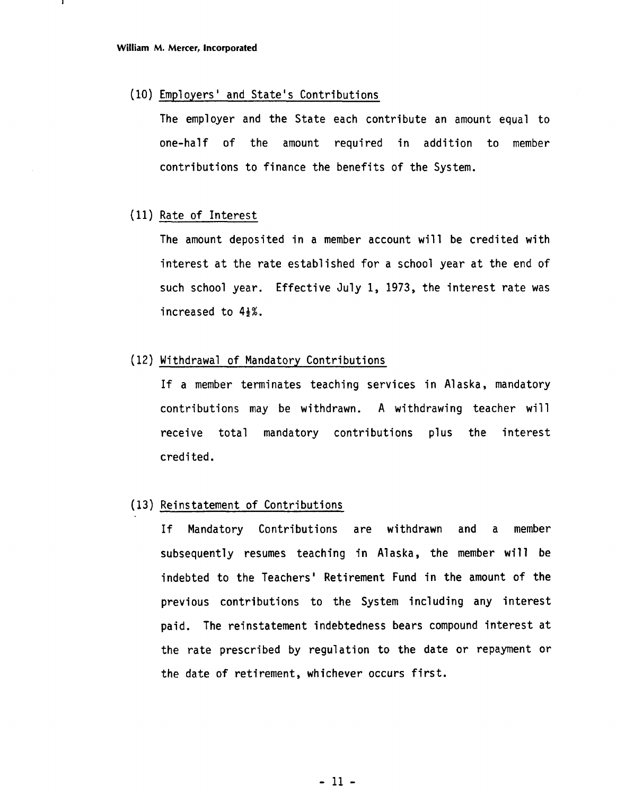### (10) Employers' and State's Contributions

The employer and the State each contribute an amount equal to one-half of the amount required in addition to member contributions to finance the benefits of the System.

#### (11) Rate of Interest

The amount deposited in a member account will be credited with interest at the rate established for a school year at the end of such school year. Effective July 1, 1973, the interest rate was increased to  $4\frac{1}{2}\%$ .

#### (12) Withdrawal of Mandatory Contributions

If a member terminates teaching services in Alaska, mandatory contributions may be withdrawn. **A** withdrawing teacher will receive total mandatory contributions plus the interest credited.

#### (13) Reinstatement of Contributions

If Mandatory Contributions are withdrawn and a member subsequently resumes teaching in Alaska, the member will be indebted to the Teachers' Retirement Fund in the amount of the previous contributions to the System including any interest paid. The reinstatement indebtedness bears compound interest at the rate prescribed by regulation to the date or repayment or the date of retirement, whichever occurs first.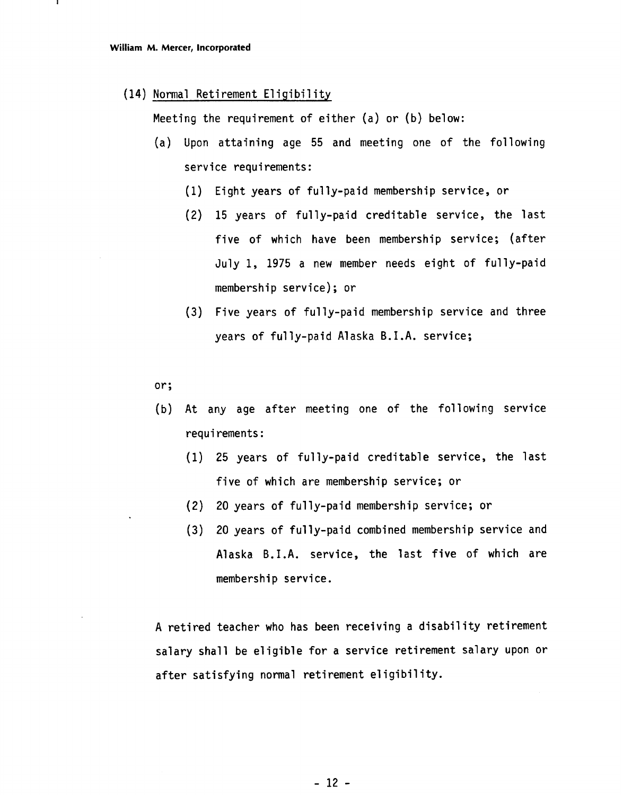#### (14) Normal Retirement Eliqibility

Meeting the requirement of either (a) or (b) below:

- (a) Upon attaining age 55 and meeting one of the following service requirements:
	- Eight years of fully-paid membership service, or
	- 15 years of fully-paid creditable service, the last five of which have been membership service; (after July 1, 1975 a new member needs eight of fully-paid membership service) ; or
	- (3) Five years of fully-paid membership service and three years of fully-paid Alaska B.I.A. service;

or;

- (b) At any age after meeting one of the following service requi rements :
	- (1) 25 years of fully-paid creditable service, the last five of which are membership service; or
	- (2) 20 years of ful ly-paid membership service; or
	- **(3)** 20 years of ful ly-paid combined membership service and Alaska B.I.A. service, the last five of which are membership service.

A retired teacher who has been receiving a disability retirement salary shall be eligible for a service retirement salary upon or after satisfying normal retirement eligibility.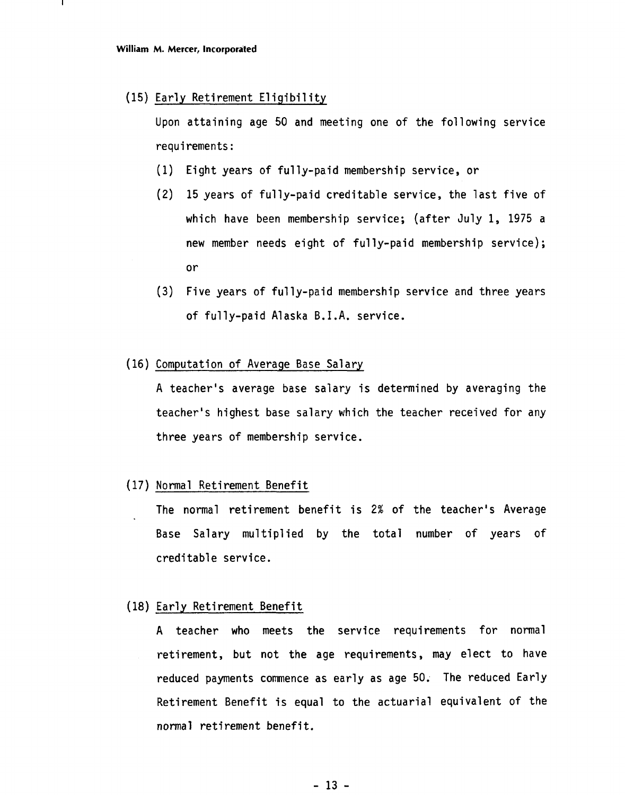#### (15) Early Retirement Eligibility

Upon attaining age 50 and meeting one of the following service requi rements :

- (1) Eight years of fully-paid membership service, or
- **(2)** 15 years of fully-paid creditable service, the last five of which have been membership service; (after July 1, 1975 a new member needs eight of fully-paid membership service); or
- **(3)** Five years of ful ly-paid membership service and three years of fully-paid Alaska B.I.A. service.
- (16) Computation of Average Base Salary

A teacher's average base salary is determined by averaging the teacher's highest base salary which the teacher received for any three years of membership service.

#### (17) Normal Retirement Benefit

The normal retirement benefit is 2% of the teacher's Average Base Salary multiplied by the total number of years of creditable service.

#### (18) Early Retirement Benefit

A teacher who meets the service requirements for normal retirement, but not the age requirements, may elect to have reduced payments commence as early as age 50. The reduced Early Retirement Benefit is equal to the actuarial equivalent of the normal retirement benefit.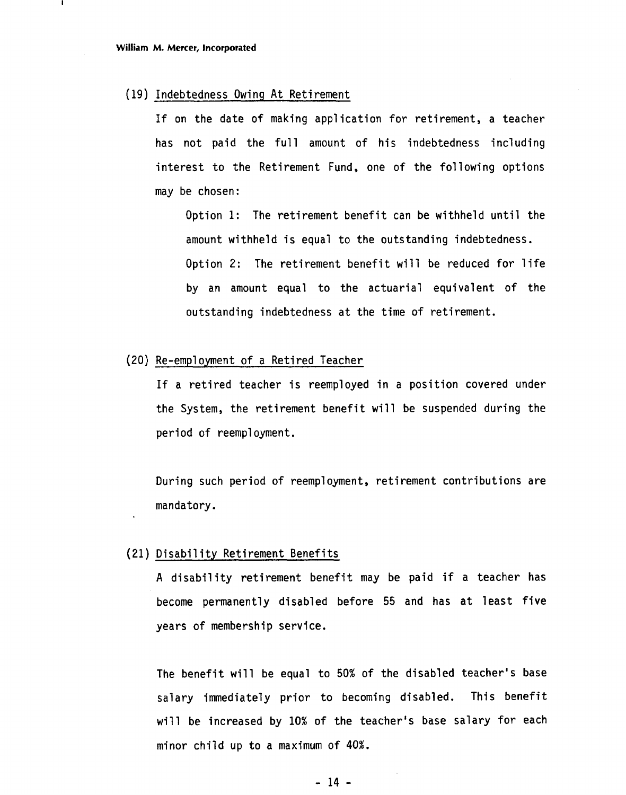#### (19) Indebtedness Owing At Retirement

If on the date of making application for retirement, a teacher has not paid the full amount of his indebtedness including interest to the Retirement Fund, one of the following options may be chosen:

Option 1: The retirement benefit can be withheld until the amount withheld is equal to the outstanding indebtedness. Option 2: The retirement benefit will be reduced for life by an amount equal to the actuarial equivalent of the outstanding indebtedness at the time of retirement.

#### (20) Re-empl oyment of a Retired Teacher

If a retired teacher is reemployed in a position covered under the System, the retirement benefit will be suspended during the period of reemployment.

During such period of reemployment, retirement contributions are mandatory.

#### (21) Disabil ity Retirement Benefits

A disability retirement benefit may be paid if a teacher has become permanently disabled before 55 and has at least five years of membership service.

The benefit will be equal to 50% of the disabled teacher's base salary immediately prior to becoming disabled. This benefit will be increased by 10% of the teacher's base salary for each minor child up to a maximum of **40%.**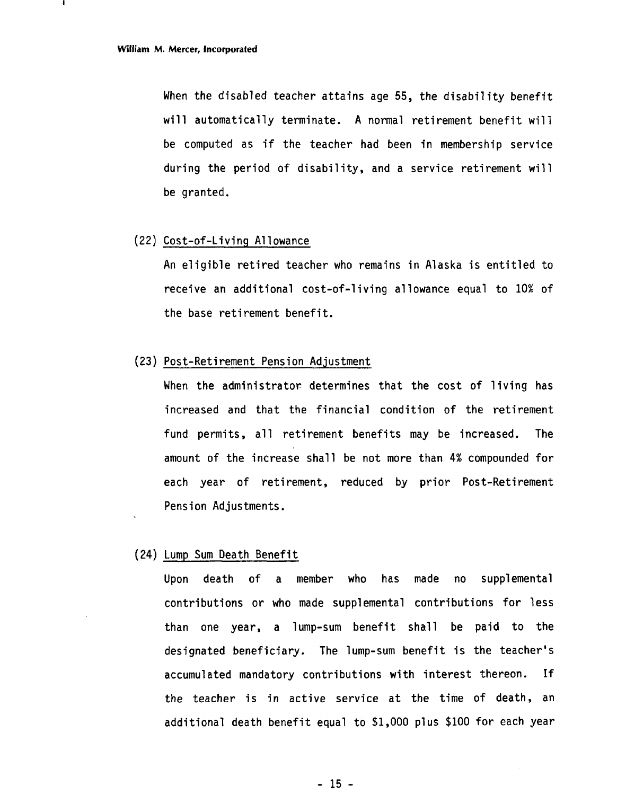When the disabled teacher attains age 55, the disability benefit will automatically terminate. A normal retirement benefit will be computed as if the teacher had been in membership service during the period of disability, and a service retirement will be granted.

#### (22) Cost-of-Living A1 lowance

An eligible retired teacher who remains in Alaska is entitled to receive an additional cost-of-living allowance equal to 10% of the base retirement benefit.

#### (23) Post-Retirement Pension Adjustment

When the administrator determines that the cost of living has increased and that the financial condition of the retirement fund permits, all retirement benefits may be increased. The amount of the increase shall be not more than **4%** compounded for each year of retirement, reduced by prior Post-Retirement Pension Adjustments.

#### (24) Lump Sum Death Benefit

Upon death of a member who has made no supplemental contributions or who made supplemental contributions for less than one year, a lump-sum benefit shall be paid to the designated beneficiary. The lump-sum benefit is the teacher's accumulated mandatory contributions with interest thereon. If the teacher is in active service at the time of death, an additional death benefit equal to \$1,000 plus \$100 for each year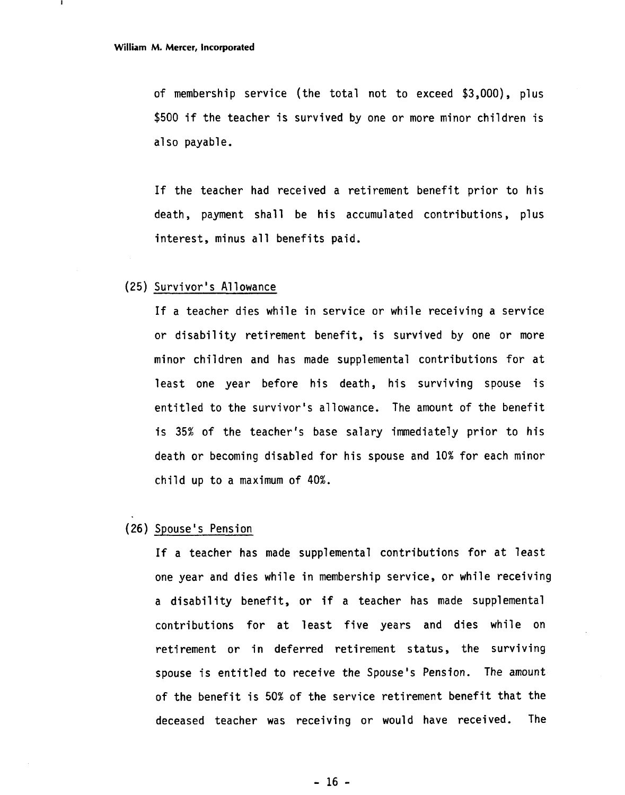of membership service (the total not to exceed \$3,000), plus \$500 if the teacher is survived by one or more minor children is also payable.

If the teacher had received a retirement benefit prior to his death, payment shall be his accumulated contributions, plus interest, minus all benefits paid.

#### (25) Survivor's Allowance

If a teacher dies while in service or while receiving a service or disability retirement benefit, is survived by one or more minor children and has made supplemental contributions for at least one year before his death, his surviving spouse is entitled to the survivor's allowance. The amount of the benefit is 35% of the teacher's base salary immediately prior to his death or becoming disabled for his spouse and 10% for each minor child up to a maximum of 40%.

#### (26) Spouse's Pension

If a teacher has made supplemental contributions for at least one year and dies while in membership service, or while receiving a disability benefit, or if a teacher has made supplemental contributions for at least five years and dies while on retirement or in deferred retirement status, the surviving spouse is entitled to receive the Spouse's Pension. The amount of the benefit is 50% of the service retirement benefit that the deceased teacher was receiving or would have received. The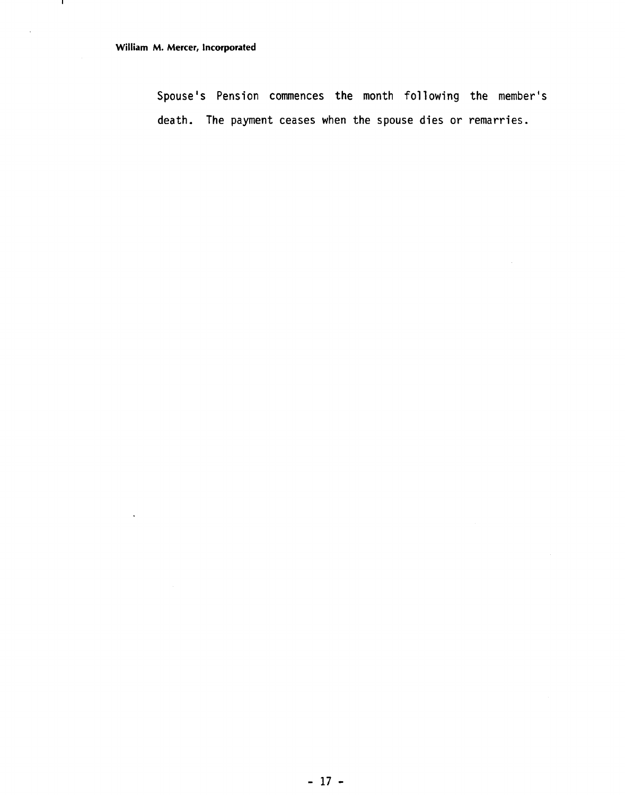- 11

÷.

Spouse's Pension commences the month following the member's death. The payment ceases when the spouse dies or remarries.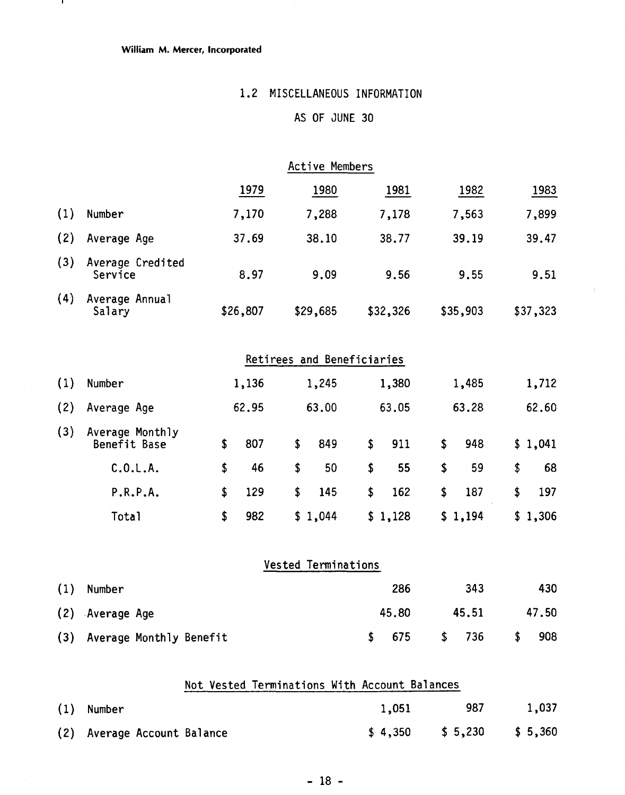#### **William M. Mercer, Incorporated**

- 11

## **1.2** MISCELLANEOUS INFORMATION

### AS OF JUNE **30**

 $\frac{1}{2}$ 

|     |                                 |                                               |          | Active Members             |           |           |           |
|-----|---------------------------------|-----------------------------------------------|----------|----------------------------|-----------|-----------|-----------|
|     |                                 |                                               | 1979     | 1980                       | 1981      | 1982      | 1983      |
| (1) | Number                          |                                               | 7,170    | 7,288                      | 7,178     | 7,563     | 7,899     |
| (2) | Average Age                     |                                               | 37.69    | 38.10                      | 38.77     | 39.19     | 39.47     |
| (3) | Average Credited<br>Service     |                                               | 8.97     | 9.09                       | 9.56      | 9.55      | 9.51      |
| (4) | Average Annual<br>Salary        |                                               | \$26,807 | \$29,685                   | \$32,326  | \$35,903  | \$37,323  |
|     |                                 |                                               |          | Retirees and Beneficiaries |           |           |           |
| (1) | Number                          |                                               | 1,136    | 1,245                      | 1,380     | 1,485     | 1,712     |
| (2) | Average Age                     |                                               | 62.95    | 63.00                      | 63.05     | 63.28     | 62.60     |
| (3) | Average Monthly<br>Benefit Base | \$                                            | 807      | \$<br>849                  | \$<br>911 | \$<br>948 | \$1,041   |
|     | C.0.L.A.                        | \$                                            | 46       | \$<br>50                   | \$<br>55  | \$<br>59  | \$<br>68  |
|     | P.R.P.A.                        | \$                                            | 129      | \$<br>145                  | \$<br>162 | \$<br>187 | \$<br>197 |
|     | <b>Total</b>                    | \$                                            | 982      | \$1,044                    | \$1,128   | \$1,194   | \$1,306   |
|     |                                 |                                               |          | <b>Vested Terminations</b> |           |           |           |
| (1) | Number                          |                                               |          |                            | 286       | 343       | 430       |
| (2) | Average Age                     |                                               |          |                            | 45.80     | 45.51     | 47.50     |
| (3) | Average Monthly Benefit         |                                               |          |                            | \$<br>675 | \$<br>736 | \$<br>908 |
|     |                                 | Not Vested Terminations With Account Balances |          |                            |           |           |           |
|     |                                 |                                               |          |                            |           |           |           |

| $(1)$ Number                | 1,051 | 987                        | 1,037 |
|-----------------------------|-------|----------------------------|-------|
| (2) Average Account Balance |       | $$4,350$ $$5,230$ $$5,360$ |       |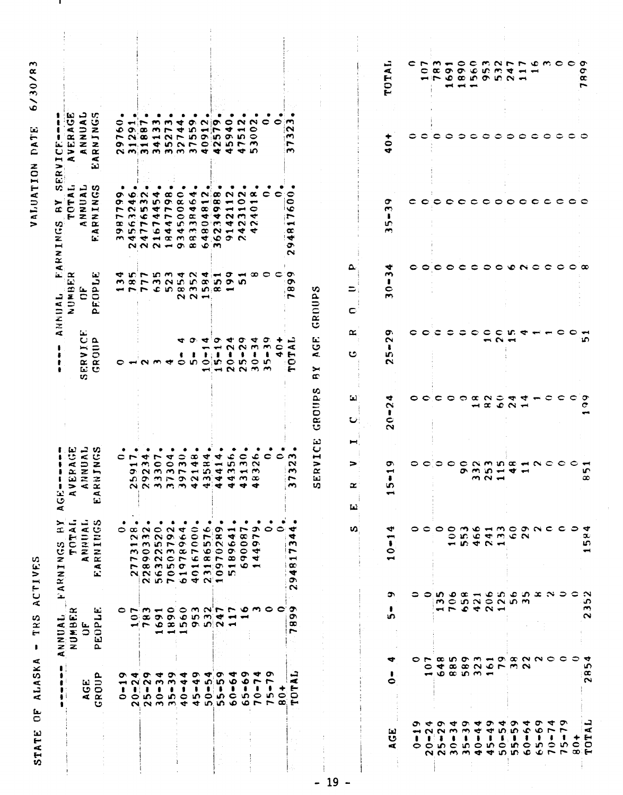|                                                                       | ш                                                        | <b>NNUAL</b><br>₹.                                                                                                 | ➤<br>$\overline{\mathbf{r}}$<br>FARNINGS                                                                                                             | Ъ.<br>A <sub>G</sub>                                                         |                                           |                                                              |                                                    | v.<br>ARNINGS                                                                                                                     | $\bullet$<br>ERV                                                                                       |                                   |
|-----------------------------------------------------------------------|----------------------------------------------------------|--------------------------------------------------------------------------------------------------------------------|------------------------------------------------------------------------------------------------------------------------------------------------------|------------------------------------------------------------------------------|-------------------------------------------|--------------------------------------------------------------|----------------------------------------------------|-----------------------------------------------------------------------------------------------------------------------------------|--------------------------------------------------------------------------------------------------------|-----------------------------------|
|                                                                       |                                                          | NUMBER                                                                                                             |                                                                                                                                                      | $\overline{M}$                                                               |                                           |                                                              | ட் ≃<br>ANNUAL<br>Number                           | ټ<br>K.<br>$\frac{1}{2}$<br>٠H                                                                                                    | Ŀ.<br>ಀ<br>$\blacktriangleleft$<br>i<br>VERJ<br>$- 4$                                                  |                                   |
|                                                                       |                                                          | بعا<br>$\bar{\circ}$                                                                                               |                                                                                                                                                      | $\omega$ $z$ $z$                                                             |                                           | نعة<br>ERVIC<br>t,                                           | ٤L.<br>$\mathbf C$                                 | NNUAL                                                                                                                             | ي ج<br>NUAI<br>ING:<br>$z$ z<br>$\alpha$                                                               |                                   |
|                                                                       | ௳<br>AGE<br>ROUI<br>U                                    | نعا<br>ᅼ<br>EOPI<br>$\mathbf{a}$                                                                                   | TOTAL<br>ANNUAL<br>RNINGS<br>A<br>Ъ.                                                                                                                 | <b>RAGE</b><br>NUALL<br>TNGS<br>$\frac{4}{4}$<br>ū                           |                                           | ROIIP<br>$\overline{c}$                                      | 包<br>د<br><b>FOP</b><br>$\sim$                     | $\sum_{k=1}^{N} \sum_{k=1}^{N}$<br>¢<br>ta:                                                                                       | Æ<br>لت                                                                                                |                                   |
|                                                                       | $\mathbf{r}$                                             |                                                                                                                    |                                                                                                                                                      | c                                                                            |                                           | ∘                                                            |                                                    | ٠<br>ຶ<br>r<br>$\infty$                                                                                                           | ≎<br>∙                                                                                                 |                                   |
|                                                                       | $\blacksquare$ $\blacksquare$<br>- 81<br>$\circ$ $\circ$ | $\bullet$                                                                                                          | $\circ$ $\infty$ $\circ$                                                                                                                             |                                                                              |                                           |                                                              | ים ידי                                             | $\sigma$ +<br>$\sim$ 10<br>$\overline{r}$<br>É                                                                                    | $\bullet$                                                                                              |                                   |
|                                                                       | $\bullet$                                                |                                                                                                                    |                                                                                                                                                      | ₩<br>$\rightarrow$ m                                                         |                                           |                                                              |                                                    | 68<br>m,<br>۰c                                                                                                                    | r<br>$\bullet$                                                                                         |                                   |
|                                                                       | $\sigma$ + $\sigma$ +<br>$\sim$ $\sim$<br>$\bullet$      | ONMHOOMNNN WMOO<br>$\infty$ or or $\infty$ in mixer $\leftarrow$<br>troxnonnt                                      | romno Hmo Hom<br>$NNC$ $C+$ $C$ $N$ $C$ $n$<br>$\begin{array}{c}\n\alpha & \beta & \gamma & \gamma \\ \alpha & \beta & \gamma & \gamma\n\end{array}$ | r<br>$\bullet$<br>0.00000000000000<br>componidado<br>ひつうううすうすうす              |                                           | $\sim$ $\sim$                                                | アちょうくうし<br>mormouno no no<br>4 7 7 8 50 60 61 52 4 | ₹<br>M.<br>$\blacktriangledown$<br>400<br><b>PPEDM</b><br>9.07999900<br>n d d d d w w d d w<br>$N \wedge N = 0$ $\omega \wedge m$ | mme<br>$\mathbf{r}$<br>n NotNh no no no<br>$9.449$ $0.070$ $0.07$<br><b><i><u>NMMMMMWSSTAN</u></i></b> |                                   |
|                                                                       | $\bullet$<br>$\blacksquare$<br>$\bullet$                 | $\frac{1}{2}$                                                                                                      | ٠                                                                                                                                                    | ₩                                                                            |                                           | ↩                                                            |                                                    | $\bullet$<br>$\bullet$<br>$\overline{ }$                                                                                          | $\overline{ }$                                                                                         |                                   |
|                                                                       | ₹<br>◆<br>$\bullet$                                      | $\rightarrow$                                                                                                      | ٠                                                                                                                                                    | 0<br>$\sim$ $\sim$                                                           |                                           | ⋖                                                            |                                                    | $\circ$<br>$\alpha$<br>$\circ$                                                                                                    | ◆                                                                                                      |                                   |
|                                                                       | 49<br>٠                                                  |                                                                                                                    |                                                                                                                                                      | œ<br>$\blacktriangledown$                                                    |                                           | $\circ$ m                                                    | N <sub>N</sub>                                     | ↞<br>۱c<br>۰                                                                                                                      | $\bullet$<br>۱O.                                                                                       |                                   |
|                                                                       | ◆<br>ഗ<br>$\bullet$                                      |                                                                                                                    | $\bullet$                                                                                                                                            | ₹<br>$\boldsymbol{\infty}$                                                   |                                           | 0.40404                                                      |                                                    | $\sim$<br><b>The Second</b><br>$\infty$<br>$\alpha$ d <sub>i</sub> $\alpha$                                                       | $\sim$<br>₩                                                                                            |                                   |
|                                                                       | ᡡ<br>မာ<br>$\pmb{\ast}$                                  |                                                                                                                    | ٠                                                                                                                                                    | ෑ<br>$\rightarrow$                                                           |                                           | (سي.<br>$\bullet$ in                                         |                                                    | œ<br>œ<br>$\bullet$<br>$\mathbf{C}^{\dagger}$                                                                                     | io.<br>r                                                                                               |                                   |
|                                                                       | ₩<br>۰<br>$\bullet$                                      |                                                                                                                    |                                                                                                                                                      | ء<br>in.                                                                     |                                           |                                                              |                                                    | $\sim$ $\sim$<br>$\blacksquare$<br>$\rightarrow$<br>$-1$                                                                          | $\circ$<br>◆                                                                                           |                                   |
|                                                                       | ᡡ<br>$\ddot{\bullet}$<br>$\bullet$<br>65                 | $\overline{\phantom{a}}$                                                                                           | ٠                                                                                                                                                    | ∊<br>$\mathbf{r}$                                                            |                                           | ٠                                                            | ഗ                                                  | 0<br>بس<br>$\sim$ $\sim$<br>$\sim$ $\sim$                                                                                         | N N<br>$\blacksquare$                                                                                  |                                   |
|                                                                       | ÷<br>ł<br>70                                             |                                                                                                                    |                                                                                                                                                      | عہ<br>$\sim$<br>$\infty$                                                     |                                           | $N$ $N$ $m$<br>ŧ<br>$\circ$ in $\circ$ in<br>ᆔᆔ <b>ᅅᇬ</b> ᇄᇄ | $\sigma - \infty$ $\sigma - \infty$                | œ<br>$\blacksquare$<br>0<br>↞<br>$\sim$<br>₹                                                                                      | $\bullet$                                                                                              |                                   |
|                                                                       | o<br>۰<br>75                                             |                                                                                                                    | 0                                                                                                                                                    | c                                                                            |                                           | $\sigma$                                                     |                                                    | c                                                                                                                                 | 0                                                                                                      |                                   |
|                                                                       | ۰<br>$\bullet$<br>$\infty$                               |                                                                                                                    | $\bullet$                                                                                                                                            | ≎                                                                            |                                           | ٠<br>$\sim$ $\sim$<br>◆                                      |                                                    | $\bullet$                                                                                                                         | $\bullet$                                                                                              |                                   |
|                                                                       | 2ء<br>Æ<br>E<br>Ō<br>⊷                                   | э.<br>o.<br>œ<br>r                                                                                                 | ₩<br>4<br>m<br>$\overline{\phantom{0}}$<br>$\rightarrow$<br>$\infty$<br>₩<br>ີ<br>$\sim$                                                             | m<br>N<br>m<br>r<br>$\sim$                                                   |                                           | تسر<br>⋖<br>÷<br>င<br>بسع                                    | ው<br>$\bullet$<br>$\sim$                           | 0<br>$\bullet$<br>١O<br>r<br>$\overline{\phantom{a}}$<br>$\alpha$<br>l et<br>۰<br>$\sim$                                          | m<br>$\sim$<br>m<br>r<br>m                                                                             |                                   |
|                                                                       |                                                          |                                                                                                                    |                                                                                                                                                      | نت<br>Ü<br>Н<br>><br>$\alpha$<br>Ιz,<br>w,                                   | S<br>GROUP                                | $\mathbf{L}$<br>υ<br>жī,<br>➤<br>ø                           | GROUPS                                             |                                                                                                                                   |                                                                                                        |                                   |
|                                                                       |                                                          |                                                                                                                    | v)                                                                                                                                                   | $\propto$<br>Ш                                                               | ш<br>ひ                                    | ĸ<br>ပ                                                       | a<br>⋍<br>c                                        |                                                                                                                                   |                                                                                                        |                                   |
|                                                                       |                                                          |                                                                                                                    |                                                                                                                                                      |                                                                              |                                           |                                                              |                                                    |                                                                                                                                   |                                                                                                        |                                   |
| لعا<br>v<br>4                                                         | 0                                                        | ۰<br>w.<br>ෑ                                                                                                       | 4<br>بسب<br>$\frac{1}{2}$<br>$\leftarrow$<br>ລາ                                                                                                      | い<br>$\blacksquare$                                                          | ₹<br>$\sim$<br>÷<br>Ō<br>$\sim$           | ۰<br>$\sim$<br>÷<br>w.<br>$\sim$                             | ◆<br><b>M</b><br>$\bullet$<br>$\sim$               | σ<br><b>CO</b><br>U.<br>$\sim$                                                                                                    | $\bullet$<br>$\bullet$                                                                                 | ᇦ<br>$\blacktriangleleft$<br>TOT. |
| $\mathbf{I}$                                                          |                                                          |                                                                                                                    |                                                                                                                                                      | 0                                                                            |                                           |                                                              |                                                    |                                                                                                                                   |                                                                                                        |                                   |
| $\blacktriangleright$<br>ວາ<br>$\blacksquare$<br>$\bullet$            | $\bullet$                                                | っこ                                                                                                                 | OCOOMENMOONCCO4<br>っ                                                                                                                                 |                                                                              | င္ င                                      |                                                              | 0                                                  | c                                                                                                                                 |                                                                                                        | CNM HOC MNNN CMOOO<br>c           |
| $\bullet$<br>$\bullet$ : $\bullet$                                    | $\blacktriangledown$                                     |                                                                                                                    |                                                                                                                                                      |                                                                              |                                           |                                                              |                                                    |                                                                                                                                   |                                                                                                        | $\alpha$ $\sigma$                 |
| ₩<br>$N$ $N$ $m$<br>$\bullet$                                         |                                                          |                                                                                                                    |                                                                                                                                                      | $\circ \circ \circ \circ$                                                    |                                           |                                                              | $\circ \circ \circ$                                | $\bullet \bullet$                                                                                                                 | 0                                                                                                      | <del>ed</del> and and             |
| $\sigma$<br>$\rightarrow$<br>$\bullet$                                |                                                          |                                                                                                                    |                                                                                                                                                      |                                                                              |                                           | 0                                                            |                                                    |                                                                                                                                   | っ                                                                                                      |                                   |
| ▾<br>₹<br>$\pmb{\ast}$                                                | $\rightarrow$ $\sim$ $\sim$ $\sim$ $\sim$                | MOUNONUM<br>HP C C N H<br>$\begin{array}{c} \hbox{\scriptsize co.p.o.m} \to \hbox{\scriptsize co.p.m} \end{array}$ | OK G TMGN<br><b>15421</b><br>$\mathbf{u}$ $\mathbf{v}$ $\mathbf{u}$ $\mathbf{w}$                                                                     | <b>NMMOHNCCC</b><br><u>ው ጥ ነበ <del>።</del> ቁ <del>።</del></u><br>$M \sim -1$ | $\circ$ $\circ$ $\circ$ $\circ$ $\circ$   | $\bullet$                                                    | $\circ \circ$                                      | coooocco                                                                                                                          | င                                                                                                      | $Q \circ Q$<br>--00000002         |
| o,<br>÷<br>п                                                          |                                                          |                                                                                                                    |                                                                                                                                                      |                                                                              |                                           | $\epsilon$<br>$\frac{1}{2}$                                  |                                                    |                                                                                                                                   | 0                                                                                                      |                                   |
| ₩<br>S.<br>6                                                          |                                                          |                                                                                                                    | ဖေအဖ                                                                                                                                                 |                                                                              | 420N                                      |                                                              | $\bullet$                                          |                                                                                                                                   |                                                                                                        | $\sim$                            |
| ္မွဳ<br>$\bullet$                                                     |                                                          |                                                                                                                    |                                                                                                                                                      |                                                                              | $\blacktriangledown$ $\blacktriangledown$ | w.<br>$\overline{\phantom{a}}$                               | 0 0 0 0                                            |                                                                                                                                   | ≎                                                                                                      | ₹                                 |
| ₹<br>ę,<br>$\bullet$                                                  |                                                          |                                                                                                                    | $\pi \propto \infty$                                                                                                                                 |                                                                              |                                           | ູ                                                            |                                                    |                                                                                                                                   | ≏                                                                                                      | $\overline{\phantom{a}}$          |
| ᡋ<br>$\bullet$<br>$\bullet$<br>$\circ$ n<br>$\mathbf{c}$ $\mathbf{c}$ |                                                          |                                                                                                                    |                                                                                                                                                      |                                                                              | $ \circ$                                  |                                                              |                                                    |                                                                                                                                   |                                                                                                        | $\overline{\phantom{0}}$          |
| ┭<br>$\bullet$<br>70                                                  |                                                          |                                                                                                                    |                                                                                                                                                      |                                                                              |                                           |                                                              |                                                    |                                                                                                                                   |                                                                                                        |                                   |
| ᡡ                                                                     |                                                          |                                                                                                                    | ⊃                                                                                                                                                    |                                                                              | c                                         | င                                                            | ∘                                                  |                                                                                                                                   |                                                                                                        |                                   |
|                                                                       |                                                          | ೦                                                                                                                  | ≎                                                                                                                                                    |                                                                              | $\bullet$                                 | 0                                                            | $\circ$ $\infty$                                   | $\circ$ $\circ$                                                                                                                   |                                                                                                        |                                   |
| $\frac{1}{4}$<br>$75 - 104$<br>$T00 + 104$                            | S<br>28                                                  | ဟ<br>$\mathbf{r}$<br>$\sim$<br>₹                                                                                   | 5g<br>$\boldsymbol{\sim}$                                                                                                                            | n.<br>$\infty$                                                               | ా<br>c                                    | ۱Ω                                                           |                                                    |                                                                                                                                   |                                                                                                        | ۰<br>$\alpha$<br>$\overline{ }$   |
|                                                                       |                                                          |                                                                                                                    |                                                                                                                                                      |                                                                              |                                           |                                                              |                                                    |                                                                                                                                   |                                                                                                        |                                   |

i.

 $\frac{1}{\sqrt{2}}$ 

VALUATION DATE 6/30/83

 $\mathbf{I}$ 

 $\frac{1}{2}$ 

STATE OF ALASKA - TRS ACTIVES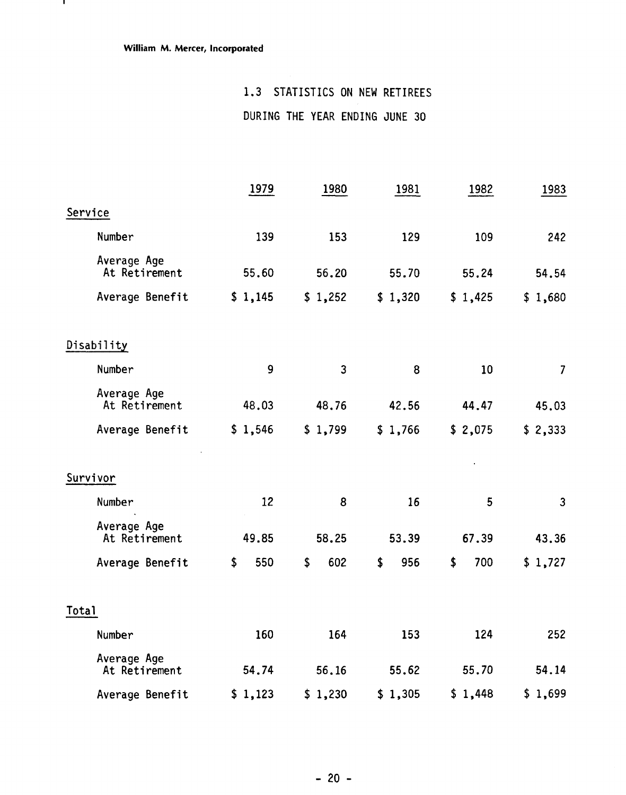$\mathbf{L}$ 

### 1.3 STATISTICS ON NEW RETIREES

DURING THE YEAR ENDING JUNE 30

|                              | 1979      | 1980         | 1981      | 1982      | 1983           |
|------------------------------|-----------|--------------|-----------|-----------|----------------|
| Service                      |           |              |           |           |                |
| Number                       | 139       | 153          | 129       | 109       | 242            |
| Average Age<br>At Retirement | 55.60     | 56.20        | 55.70     | 55.24     | 54.54          |
| Average Benefit              | \$1,145   | \$1,252      | \$1,320   | \$1,425   | \$1,680        |
| Disability                   |           |              |           |           |                |
| Number                       | 9         | $\mathbf{3}$ | 8         | 10        | $\overline{7}$ |
| Average Age<br>At Retirement | 48.03     | 48.76        | 42.56     | 44.47     | 45.03          |
| Average Benefit              | \$1,546   | \$1,799      | \$1,766   | \$2,075   | \$2,333        |
| Survivor                     |           |              |           |           |                |
| Number                       | 12        | 8            | 16        | 5         | $\mathbf{3}$   |
| Average Age<br>At Retirement | 49.85     | 58.25        | 53.39     | 67.39     | 43.36          |
| Average Benefit              | \$<br>550 | \$<br>602    | \$<br>956 | \$<br>700 | \$1,727        |
| Total                        |           |              |           |           |                |
| Number                       | 160       | 164          | 153       | 124       | 252            |
| Average Age<br>At Retirement | 54.74     | 56.16        | 55.62     | 55.70     | 54.14          |
| Average Benefit              | \$1,123   | \$1,230      | \$1,305   | \$1,448   | \$1,699        |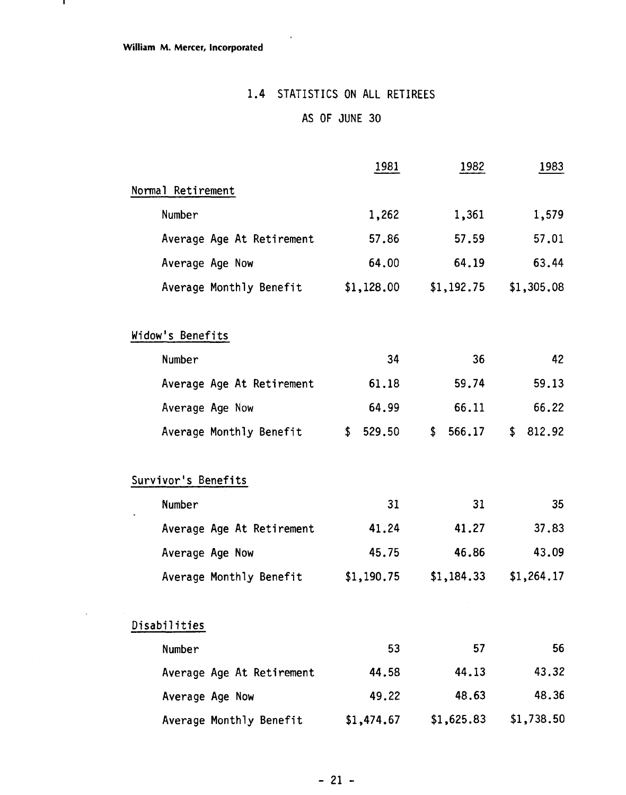$\blacksquare$ 

### **1.4** STATISTICS ON ALL RETIREES

 $\ddot{\phantom{a}}$ 

### AS OF JUNE **30**

|                                                                                                          | 1981                 | 1982                 | 1983           |
|----------------------------------------------------------------------------------------------------------|----------------------|----------------------|----------------|
| Normal Retirement                                                                                        |                      |                      |                |
| Number                                                                                                   | 1,262                | 1,361                | 1,579          |
| Average Age At Retirement                                                                                | 57.86                | 57.59                | 57.01          |
| Average Age Now                                                                                          | 64.00                | 64.19                | 63.44          |
| Average Monthly Benefit                                                                                  | \$1,128.00           | \$1,192.75           | \$1,305.08     |
| Widow's Benefits                                                                                         |                      |                      |                |
| Number                                                                                                   | 34                   | 36                   |                |
| Average Age At Retirement                                                                                | 61.18                | 59.74                | 59.13          |
| Average Age Now                                                                                          | 64.99                | 66.11                | 66.22          |
| Average Monthly Benefit                                                                                  | 529.50<br>\$         | \$<br>566.17         | \$<br>812.92   |
| Survivor's Benefits<br>Number<br>Average Age At Retirement<br>Average Age Now<br>Average Monthly Benefit | 31<br>41.24<br>45.75 | 31<br>41.27<br>46.86 | 37.83<br>43.09 |
|                                                                                                          | \$1,190.75           | \$1,184.33           | \$1,264.17     |
| Disabilities                                                                                             |                      |                      |                |
| Number                                                                                                   | 53                   | 57                   |                |
| Average Age At Retirement                                                                                | 44.58                | 44.13                |                |
| Average Age Now                                                                                          | 49.22                | 48.63                | 43.32<br>48.36 |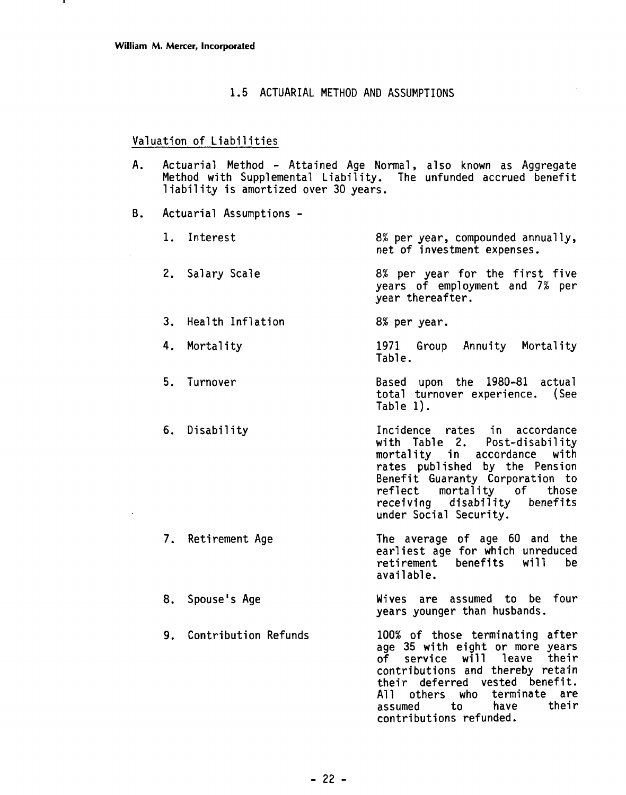#### 1.5 ACTUARIAL METHOD AND ASSUMPTIONS

#### Valuation of Liabilities

- A. Actuarial Method Attained Age Normal, also known as Aggregate Method with Supplemental Liability. The unfunded accrued benefit liability is amortized over 30 years.
- B. Actuarial Assumptions
	- 1. Interest 2. Salary Scale 8% per year, compounded annually, net of investment expenses. 8% per year for the first five years of employment and **7%** per year thereafter. 3. Health Inflation 8% per year. 4. Mortality 5. Turnover 6. Disability **7.** Retirement Age 1971 Group Annuity Mortality Table. Based upon the 1980-81 actual total turnover experience. (See Table 1). Incidence rates in accordance with Table 2. Post-disability mortality in accordance with rates published by the Pension Benefit Guaranty Corporation to reflect mortality of those<br>receiving disability benefits receiving disability under Social Security. The average of age 60 and the earliest age for which unreduced<br>retirement benefits will be retirement benefits
	- 8. Spouse's Age Wives are assumed to be four years younger than husbands.

available.

9. Contribution Refunds 100% of those terminating after age 35 with eight or more years of service will leave their contributions and thereby retain their deferred vested benefit. All others who terminate are<br>assumed to have their contributions refunded.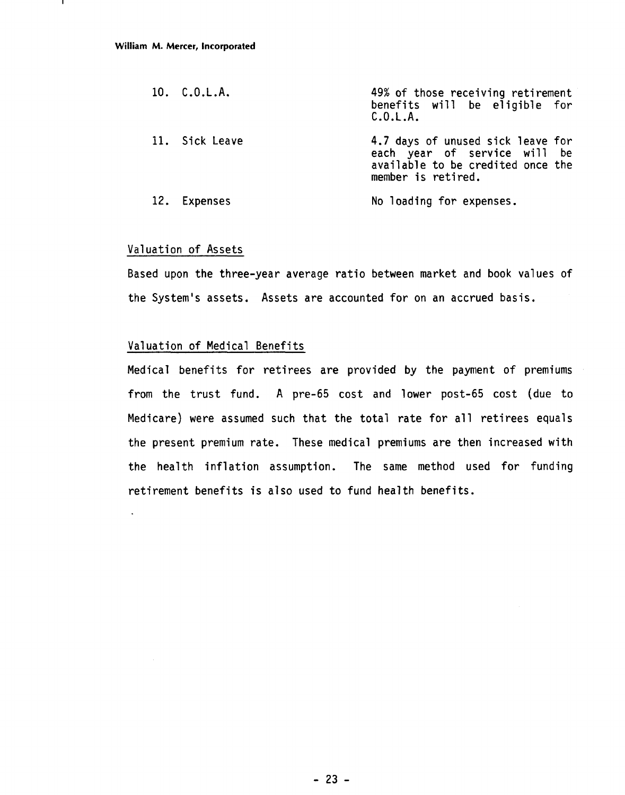| 10. C.0.L.A.   | 49% of those receiving retirement<br>benefits will be eligible for<br>C.0.L.A.                                               |
|----------------|------------------------------------------------------------------------------------------------------------------------------|
| 11. Sick Leave | 4.7 days of unused sick leave for<br>each year of service will be<br>available to be credited once the<br>member is retired. |
| 12. Expenses   | No loading for expenses.                                                                                                     |

#### Valuation of Assets

 $\ddot{\phantom{a}}$ 

Based upon the three-year average ratio between market and book values of the System's assets. Assets are accounted for on an accrued basis.

#### Valuation of Medical Benefits

Medical benefits for retirees are provided by the payment of premiums from the trust fund. A pre-65 cost and lower post-65 cost (due to Medicare) were assumed such that the total rate for all retirees equals the present premium rate. These medical premiums are then increased with the health inflation assumption. The same method used for funding retirement benefits is also used to fund health benefits.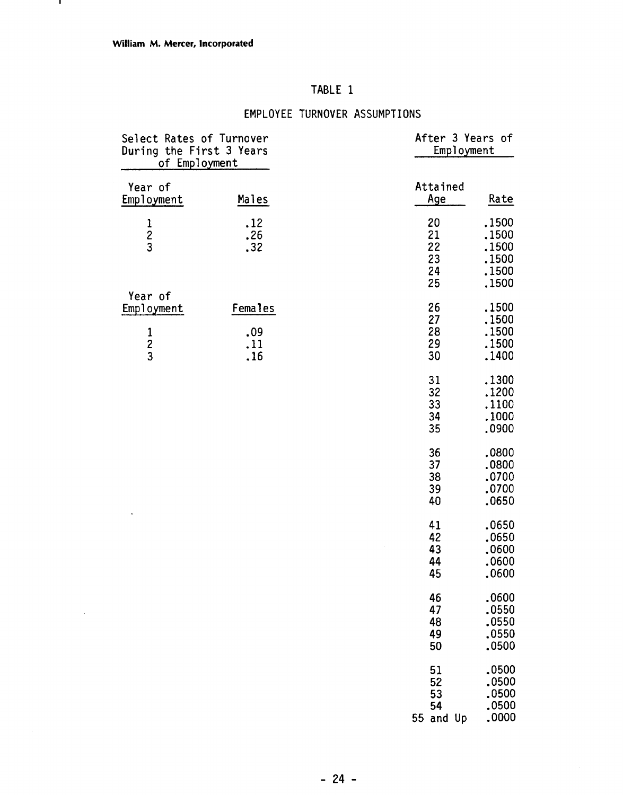$\bar{\beta}$ 

### TABLE 1

### EMPLOYEE TURNOVER ASSUMPTIONS

| Select Rates of Turnover<br>During the First 3 Years<br>of Employment |                                     | After 3 Years of<br>Employment                                                         |
|-----------------------------------------------------------------------|-------------------------------------|----------------------------------------------------------------------------------------|
| Year of<br>Employment                                                 | Males                               | Attained<br>Age<br>Rate                                                                |
| $\frac{1}{2}$                                                         | .12<br>.26<br>.32                   | .1500<br>20<br>21<br>.1500<br>22<br>.1500<br>23<br>.1500<br>.1500<br>24<br>25<br>.1500 |
| Year of<br>Employment<br>$\frac{1}{2}$                                | <b>Females</b><br>.09<br>.11<br>.16 | 26<br>.1500<br>27<br>.1500<br>28<br>.1500<br>29<br>.1500<br>30<br>.1400                |
|                                                                       |                                     | .1300<br>31<br>32<br>.1200<br>33<br>.1100<br>34<br>.1000<br>35<br>.0900                |
|                                                                       |                                     | 36<br>.0800<br>37<br>.0800<br>38<br>.0700<br>39<br>,0700<br>40<br>.0650                |
|                                                                       |                                     | .0650<br>41<br>42<br>.0650<br>43<br>.0600<br>44<br>,0600<br>45<br>.0600                |
|                                                                       |                                     | 46<br>.0600<br>47<br>.0550<br>48<br>.0550<br>49<br>.0550<br>50<br>.0500                |
|                                                                       |                                     | .0500<br>51<br>52<br>.0500<br>.0500<br>53<br>.0500<br>54<br>.0000<br>55 and Up         |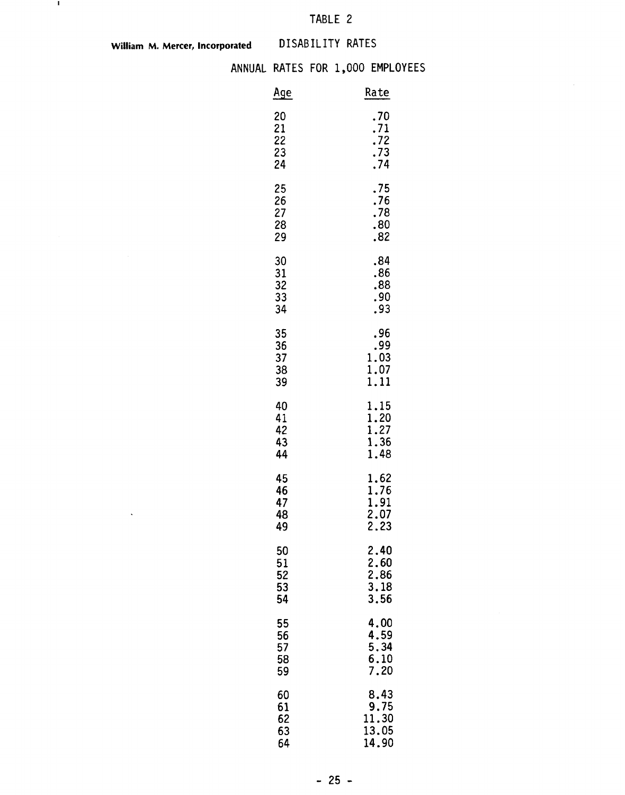## TABLE 2

**William M. Mercer, Incorporated DISABILITY RATES** 

 $\hat{\mathbf{v}}$ 

 $\mathcal{A}$ 

#### ANNUAL RATES FOR 1,000 EMPLOYEES

|                            | DISABILITY RATES |                                             |
|----------------------------|------------------|---------------------------------------------|
|                            |                  | L RATES FOR 1,000 EMPLOYEES                 |
| Age                        |                  | Rate                                        |
| 20<br>21<br>22<br>23<br>24 |                  | .70<br>.71<br>.72<br>.73<br>.74             |
| 25<br>26<br>27<br>28<br>29 |                  | .75<br>.76<br>.78<br>.80<br>.82             |
| 30<br>31<br>32<br>33<br>34 |                  | .84<br>.86<br>.88<br>.90<br>.93             |
| 35<br>36<br>37<br>38<br>39 |                  | .96<br>.99<br>1.03<br>1.07<br>1.11          |
| 40<br>41<br>42<br>43<br>44 |                  | 1.15<br>1.20<br>1.27<br>1.36<br>1.48        |
| 45<br>46<br>47<br>48<br>49 |                  | 1.62<br>1.76<br>$\frac{1.91}{2.07}$<br>2.23 |
| 50<br>51<br>52<br>53<br>54 |                  | 2.40<br>2.60<br>2.86<br>3.18<br>3.56        |
| 55<br>56<br>57<br>58<br>59 |                  | 4,00<br>4.59<br>5.34<br>6.10<br>7.20        |
| 60<br>61<br>62<br>63<br>64 |                  | 8.43<br>9.75<br>11.30<br>13.05<br>14.90     |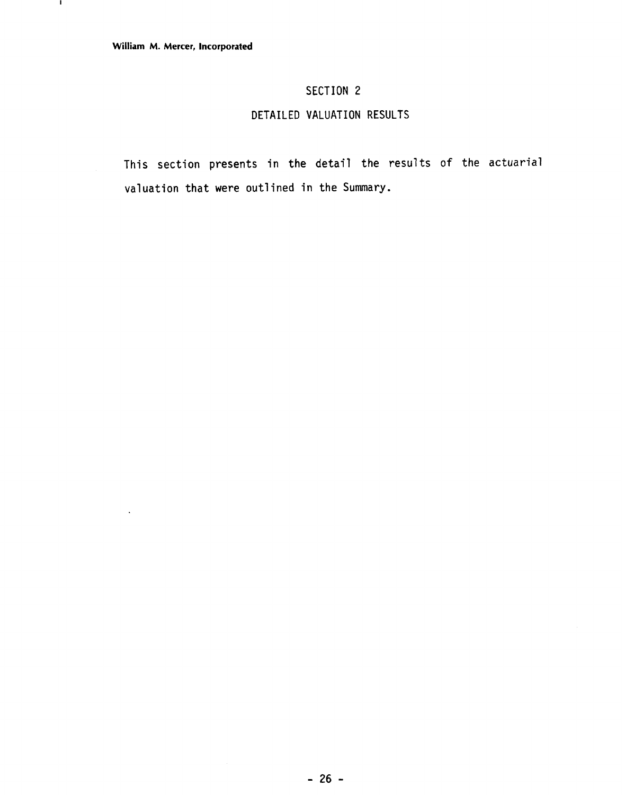л.

### SECTION 2

### DETAILED VALUATION RESULTS

This section presents in the detail the results of the actuarial valuation that were outlined in the Summary.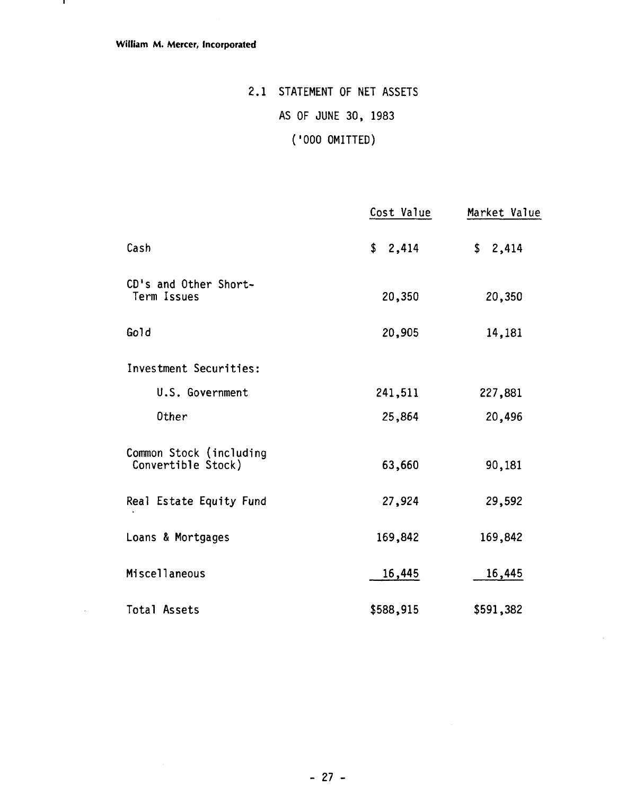$\bar{\beta}$ 

# 2.1 STATEMENT OF NET ASSETS AS OF JUNE 30, 1983 ( '000 OMITTED)

|                                               | Cost Value | Market Value |
|-----------------------------------------------|------------|--------------|
| Cash                                          | \$2,414    | \$2,414      |
| CD's and Other Short-<br>Term Issues          | 20,350     | 20,350       |
| Gold                                          | 20,905     | 14,181       |
| Investment Securities:                        |            |              |
| U.S. Government                               | 241,511    | 227,881      |
| Other                                         | 25,864     | 20,496       |
| Common Stock (including<br>Convertible Stock) | 63,660     | 90,181       |
| Real Estate Equity Fund                       | $-27,924$  | 29,592       |
| Loans & Mortgages                             | 169,842    | 169,842      |
| Miscellaneous                                 | 16,445     | 16,445       |
| Total Assets                                  | \$588,915  | \$591,382    |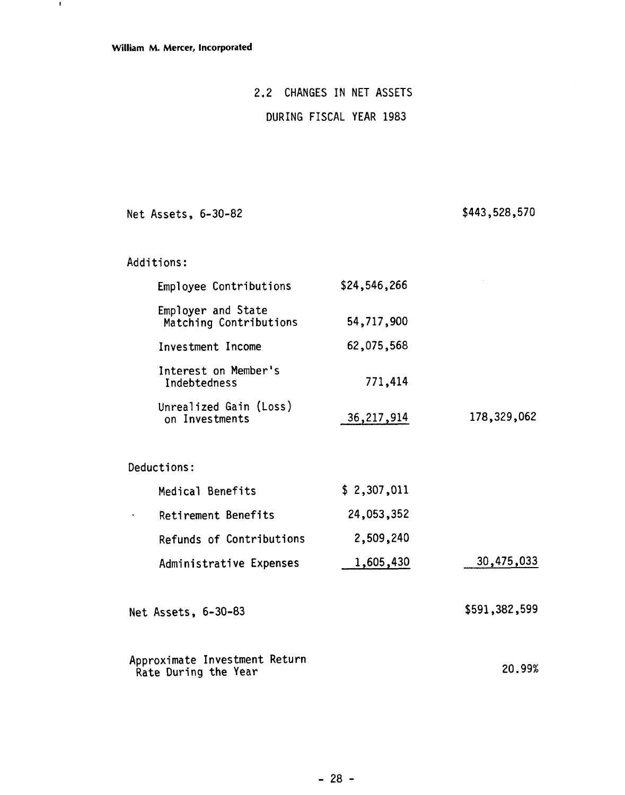$\blacksquare$ 

### 2.2 CHANGES IN NET ASSETS

### DURING FISCAL YEAR 1983

Net Assets, 6-30-82

\$443,528,570

Additions:

|                      | Employee Contributions                       | \$24,546,266 |               |
|----------------------|----------------------------------------------|--------------|---------------|
|                      | Employer and State<br>Matching Contributions | 54,717,900   |               |
|                      | Investment Income                            | 62,075,568   |               |
| Indebtedness         | Interest on Member's                         | 771,414      |               |
|                      | Unrealized Gain (Loss)<br>on Investments     | 36, 217, 914 | 178,329,062   |
| <b>Deductions:</b>   |                                              |              |               |
|                      | Medical Benefits                             | \$2,307,011  |               |
|                      | Retirement Benefits                          | 24,053,352   |               |
|                      | Refunds of Contributions                     | 2,509,240    |               |
|                      | Administrative Expenses                      | 1,605,430    | 30,475,033    |
| Net Assets, 6-30-83  |                                              |              | \$591,382,599 |
| Rate During the Year | Approximate Investment Return                |              | 20.99%        |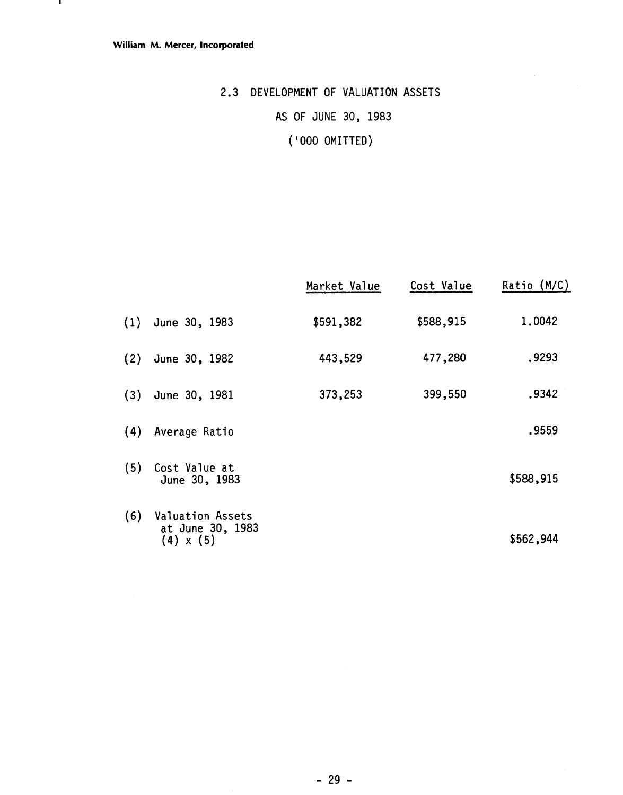# 2.3 DEVELOPMENT OF VALUATION ASSETS AS OF JUNE 30, 1983 ('000 OMITTED)

|     |                                                                 | Market Value | Cost Value | Ratio (M/C) |
|-----|-----------------------------------------------------------------|--------------|------------|-------------|
|     | $(1)$ June 30, 1983                                             | \$591,382    | \$588,915  | 1.0042      |
| (2) | June 30, 1982                                                   | 443,529      | 477,280    | .9293       |
|     | $(3)$ June 30, 1981                                             | 373,253      | 399,550    | .9342       |
| (4) | Average Ratio                                                   |              |            | .9559       |
| (5) | Cost Value at<br>June 30, 1983                                  |              |            | \$588,915   |
| (6) | <b>Valuation Assets</b><br>at June 30, 1983<br>$(4) \times (5)$ |              |            | \$562,944   |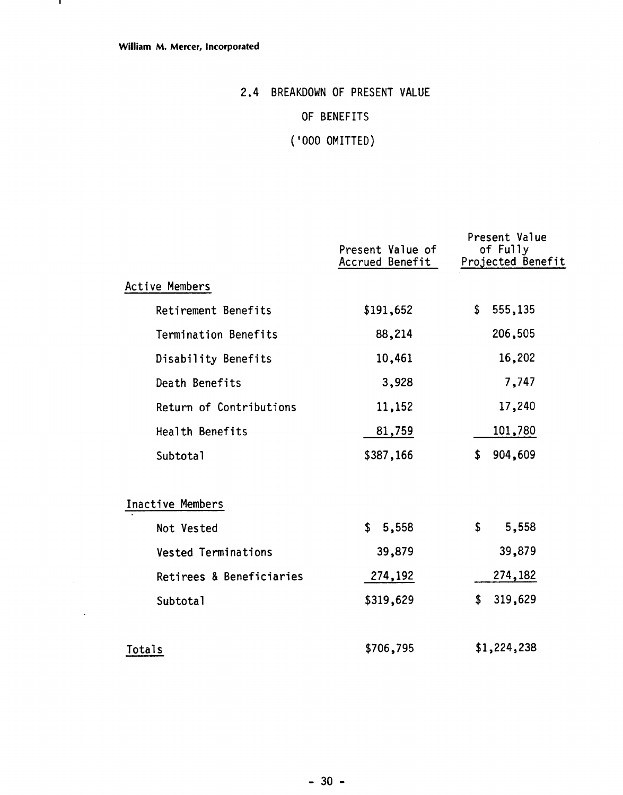$\bar{z}$ 

# 2.4 BREAKDOWN OF PRESENT VALUE

### OF BENEFITS

# ( '000 OMITTED)

|                            | Present Value of<br>Accrued Benefit | Present Value<br>of Fully<br>Projected Benefit |
|----------------------------|-------------------------------------|------------------------------------------------|
| Active Members             |                                     |                                                |
| Retirement Benefits        | \$191,652                           | \$<br>555,135                                  |
| Termination Benefits       | 88,214                              | 206,505                                        |
| Disability Benefits        | 10,461                              | 16,202                                         |
| Death Benefits             | 3,928                               | 7,747                                          |
| Return of Contributions    | 11,152                              | 17,240                                         |
| Health Benefits            | 81,759                              | 101,780                                        |
| Subtotal                   | \$387,166                           | 904,609<br>\$                                  |
| Inactive Members           |                                     |                                                |
| Not Vested                 | \$5,558                             | \$<br>5,558                                    |
| <b>Vested Terminations</b> | 39,879                              | 39,879                                         |
| Retirees & Beneficiaries   | 274,192                             | 274,182                                        |
| Subtotal                   | \$319,629                           | 319,629<br>\$                                  |
| Totals                     | \$706,795                           | \$1,224,238                                    |